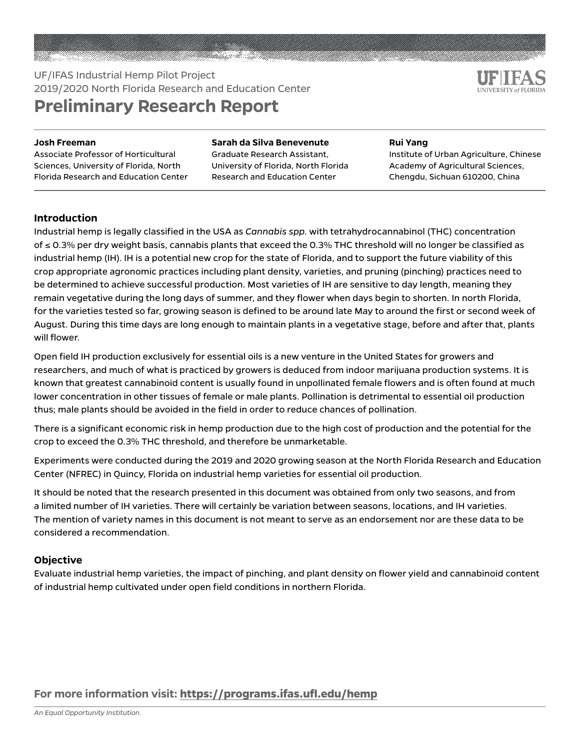# UF/IFAS Industrial Hemp Pilot Project 2019/2020 North Florida Research and Education Center **Preliminary Research Report**

#### **Josh Freeman**

Associate Professor of Horticultural Sciences, University of Florida, North Florida Research and Education Center

#### **Sarah da Silva Benevenute**

Graduate Research Assistant, University of Florida, North Florida Research and Education Center

#### **Rui Yang**

Institute of Urban Agriculture, Chinese Academy of Agricultural Sciences, Chengdu, Sichuan 610200, China

### **Introduction**

Industrial hemp is legally classified in the USA as *Cannabis spp.* with tetrahydrocannabinol (THC) concentration of ≤ 0.3% per dry weight basis, cannabis plants that exceed the 0.3% THC threshold will no longer be classified as industrial hemp (IH). IH is a potential new crop for the state of Florida, and to support the future viability of this crop appropriate agronomic practices including plant density, varieties, and pruning (pinching) practices need to be determined to achieve successful production. Most varieties of IH are sensitive to day length, meaning they remain vegetative during the long days of summer, and they flower when days begin to shorten. In north Florida, for the varieties tested so far, growing season is defined to be around late May to around the first or second week of August. During this time days are long enough to maintain plants in a vegetative stage, before and after that, plants will flower.

Open field IH production exclusively for essential oils is a new venture in the United States for growers and researchers, and much of what is practiced by growers is deduced from indoor marijuana production systems. It is known that greatest cannabinoid content is usually found in unpollinated female flowers and is often found at much lower concentration in other tissues of female or male plants. Pollination is detrimental to essential oil production thus; male plants should be avoided in the field in order to reduce chances of pollination.

There is a significant economic risk in hemp production due to the high cost of production and the potential for the crop to exceed the 0.3% THC threshold, and therefore be unmarketable.

Experiments were conducted during the 2019 and 2020 growing season at the North Florida Research and Education Center (NFREC) in Quincy, Florida on industrial hemp varieties for essential oil production.

It should be noted that the research presented in this document was obtained from only two seasons, and from a limited number of IH varieties. There will certainly be variation between seasons, locations, and IH varieties. The mention of variety names in this document is not meant to serve as an endorsement nor are these data to be considered a recommendation.

#### **Objective**

Evaluate industrial hemp varieties, the impact of pinching, and plant density on flower yield and cannabinoid content of industrial hemp cultivated under open field conditions in northern Florida.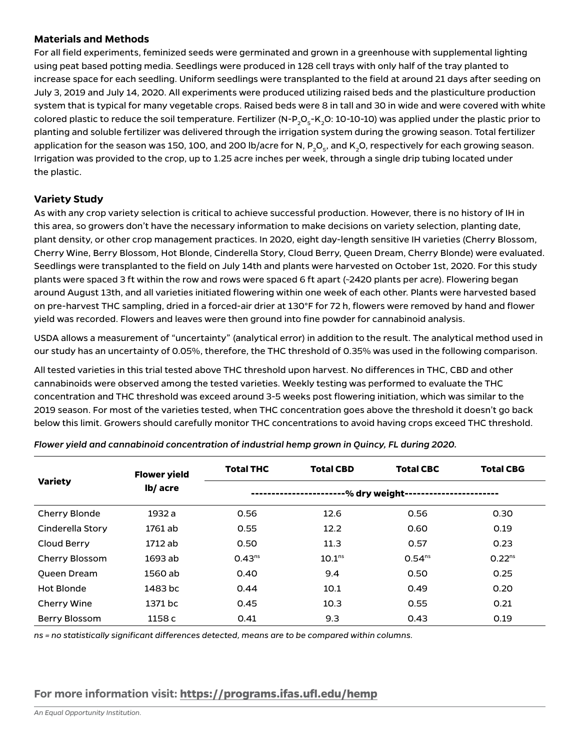#### **Materials and Methods**

For all field experiments, feminized seeds were germinated and grown in a greenhouse with supplemental lighting using peat based potting media. Seedlings were produced in 128 cell trays with only half of the tray planted to increase space for each seedling. Uniform seedlings were transplanted to the field at around 21 days after seeding on July 3, 2019 and July 14, 2020. All experiments were produced utilizing raised beds and the plasticulture production system that is typical for many vegetable crops. Raised beds were 8 in tall and 30 in wide and were covered with white colored plastic to reduce the soil temperature. Fertilizer (N-P<sub>2</sub>O<sub>5</sub>-K<sub>2</sub>O: 10-10-10) was applied under the plastic prior to planting and soluble fertilizer was delivered through the irrigation system during the growing season. Total fertilizer application for the season was 150, 100, and 200 lb/acre for N, P<sub>2</sub>O<sub>5</sub>, and K<sub>2</sub>O, respectively for each growing season. Irrigation was provided to the crop, up to 1.25 acre inches per week, through a single drip tubing located under the plastic.

### **Variety Study**

As with any crop variety selection is critical to achieve successful production. However, there is no history of IH in this area, so growers don't have the necessary information to make decisions on variety selection, planting date, plant density, or other crop management practices. In 2020, eight day-length sensitive IH varieties (Cherry Blossom, Cherry Wine, Berry Blossom, Hot Blonde, Cinderella Story, Cloud Berry, Queen Dream, Cherry Blonde) were evaluated. Seedlings were transplanted to the field on July 14th and plants were harvested on October 1st, 2020. For this study plants were spaced 3 ft within the row and rows were spaced 6 ft apart (~2420 plants per acre). Flowering began around August 13th, and all varieties initiated flowering within one week of each other. Plants were harvested based on pre-harvest THC sampling, dried in a forced-air drier at 130°F for 72 h, flowers were removed by hand and flower yield was recorded. Flowers and leaves were then ground into fine powder for cannabinoid analysis.

USDA allows a measurement of "uncertainty" (analytical error) in addition to the result. The analytical method used in our study has an uncertainty of 0.05%, therefore, the THC threshold of 0.35% was used in the following comparison.

All tested varieties in this trial tested above THC threshold upon harvest. No differences in THC, CBD and other cannabinoids were observed among the tested varieties. Weekly testing was performed to evaluate the THC concentration and THC threshold was exceed around 3-5 weeks post flowering initiation, which was similar to the 2019 season. For most of the varieties tested, when THC concentration goes above the threshold it doesn't go back below this limit. Growers should carefully monitor THC concentrations to avoid having crops exceed THC threshold.

|                    | <b>Flower yield</b> | <b>Total THC</b> | <b>Total CBD</b>   | <b>Total CBC</b> | <b>Total CBG</b> |  |  |  |
|--------------------|---------------------|------------------|--------------------|------------------|------------------|--|--|--|
| <b>Variety</b>     | lb/ acre            | -% dry weight-   |                    |                  |                  |  |  |  |
| Cherry Blonde      | 1932 a              | 0.56             | 12.6               | 0.56             | 0.30             |  |  |  |
| Cinderella Story   | 1761 ab             | 0.55             | 12.2               | 0.60             | 0.19             |  |  |  |
| Cloud Berry        | 1712 ab             | 0.50             | 11.3               | 0.57             | 0.23             |  |  |  |
| Cherry Blossom     | 1693 ab             | $0.43^{ns}$      | 10.1 <sup>ns</sup> | $0.54^{ns}$      | $0.22^{ns}$      |  |  |  |
| <b>Oueen Dream</b> | 1560 ab             | 0.40             | 9.4                | 0.50             | 0.25             |  |  |  |
| Hot Blonde         | 1483 bc             | 0.44             | 10.1               | 0.49             | 0.20             |  |  |  |
| <b>Cherry Wine</b> | 1371 bc             | 0.45             | 10.3               | 0.55             | 0.21             |  |  |  |
| Berry Blossom      | 1158 c              | 0.41             | 9.3                | 0.43             | 0.19             |  |  |  |

*Flower yield and cannabinoid concentration of industrial hemp grown in Quincy, FL during 2020.*

*ns = no statistically significant differences detected, means are to be compared within columns.*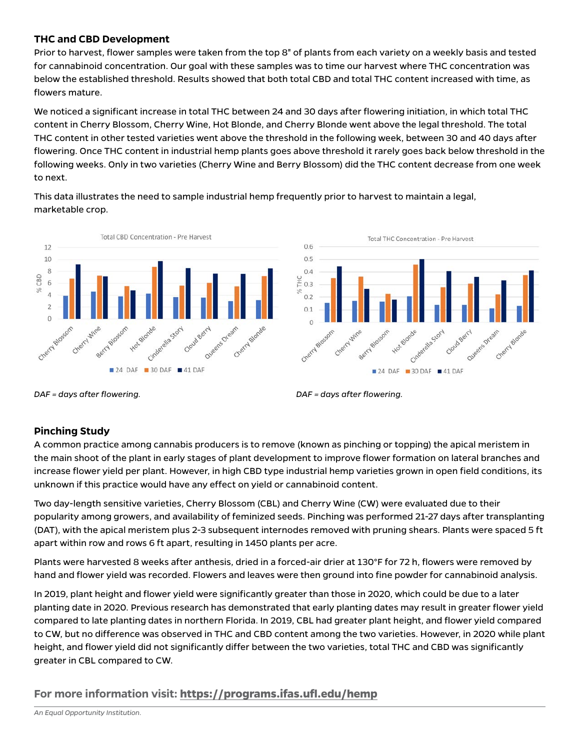### **THC and CBD Development**

Prior to harvest, flower samples were taken from the top 8" of plants from each variety on a weekly basis and tested for cannabinoid concentration. Our goal with these samples was to time our harvest where THC concentration was below the established threshold. Results showed that both total CBD and total THC content increased with time, as flowers mature.

We noticed a significant increase in total THC between 24 and 30 days after flowering initiation, in which total THC content in Cherry Blossom, Cherry Wine, Hot Blonde, and Cherry Blonde went above the legal threshold. The total THC content in other tested varieties went above the threshold in the following week, between 30 and 40 days after flowering. Once THC content in industrial hemp plants goes above threshold it rarely goes back below threshold in the following weeks. Only in two varieties (Cherry Wine and Berry Blossom) did the THC content decrease from one week to next.

This data illustrates the need to sample industrial hemp frequently prior to harvest to maintain a legal, marketable crop.



*DAF = days after flowering. DAF = days after flowering.*

#### **Pinching Study**

A common practice among cannabis producers is to remove (known as pinching or topping) the apical meristem in the main shoot of the plant in early stages of plant development to improve flower formation on lateral branches and increase flower yield per plant. However, in high CBD type industrial hemp varieties grown in open field conditions, its unknown if this practice would have any effect on yield or cannabinoid content.

Two day-length sensitive varieties, Cherry Blossom (CBL) and Cherry Wine (CW) were evaluated due to their popularity among growers, and availability of feminized seeds. Pinching was performed 21-27 days after transplanting (DAT), with the apical meristem plus 2-3 subsequent internodes removed with pruning shears. Plants were spaced 5 ft apart within row and rows 6 ft apart, resulting in 1450 plants per acre.

Plants were harvested 8 weeks after anthesis, dried in a forced-air drier at 130°F for 72 h, flowers were removed by hand and flower yield was recorded. Flowers and leaves were then ground into fine powder for cannabinoid analysis.

In 2019, plant height and flower yield were significantly greater than those in 2020, which could be due to a later planting date in 2020. Previous research has demonstrated that early planting dates may result in greater flower yield compared to late planting dates in northern Florida. In 2019, CBL had greater plant height, and flower yield compared to CW, but no difference was observed in THC and CBD content among the two varieties. However, in 2020 while plant height, and flower yield did not significantly differ between the two varieties, total THC and CBD was significantly greater in CBL compared to CW.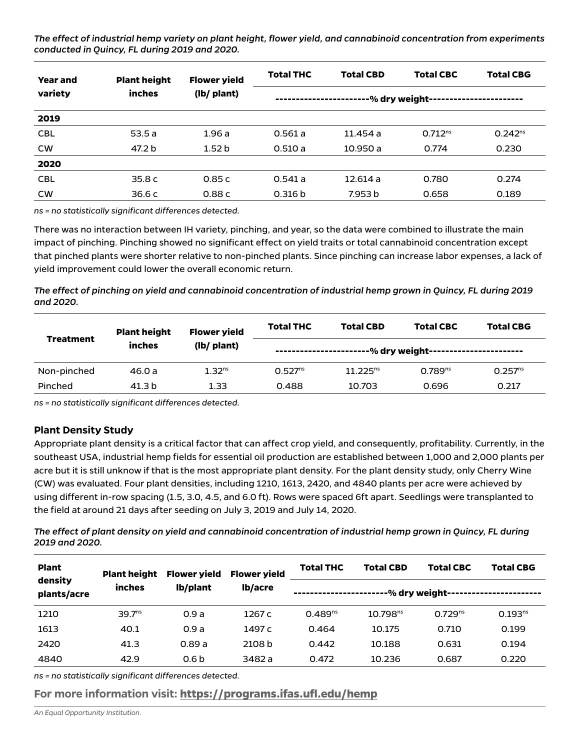*The effect of industrial hemp variety on plant height, flower yield, and cannabinoid concentration from experiments conducted in Quincy, FL during 2019 and 2020.*

| <b>Year and</b><br>variety | <b>Plant height</b> | <b>Flower yield</b> | <b>Total THC</b> | <b>Total CBD</b> | <b>Total CBC</b> | <b>Total CBG</b> |  |
|----------------------------|---------------------|---------------------|------------------|------------------|------------------|------------------|--|
|                            | inches              | (lb/ plant)         | -% dry weight-   |                  |                  |                  |  |
| 2019                       |                     |                     |                  |                  |                  |                  |  |
| <b>CBL</b>                 | 53.5a               | 1.96a               | 0.561a           | 11.454 a         | $0.712^{ns}$     | $0.242^{ns}$     |  |
| <b>CW</b>                  | 47.2 b              | 1.52 <sub>b</sub>   | 0.510a           | 10.950 a         | 0.774            | 0.230            |  |
| 2020                       |                     |                     |                  |                  |                  |                  |  |
| <b>CBL</b>                 | 35.8c               | 0.85c               | 0.541a           | 12.614a          | 0.780            | 0.274            |  |
| <b>CW</b>                  | 36.6c               | 0.88c               | 0.316 b          | 7.953 b          | 0.658            | 0.189            |  |

*ns = no statistically significant differences detected.*

There was no interaction between IH variety, pinching, and year, so the data were combined to illustrate the main impact of pinching. Pinching showed no significant effect on yield traits or total cannabinoid concentration except that pinched plants were shorter relative to non-pinched plants. Since pinching can increase labor expenses, a lack of yield improvement could lower the overall economic return.

*The effect of pinching on yield and cannabinoid concentration of industrial hemp grown in Quincy, FL during 2019 and 2020.*

| <b>Treatment</b> | <b>Plant height</b> | <b>Flower yield</b><br>(lb/ plant) | <b>Total THC</b>    | <b>Total CBD</b> | <b>Total CBC</b>    | <b>Total CBG</b>    |
|------------------|---------------------|------------------------------------|---------------------|------------------|---------------------|---------------------|
|                  | inches              |                                    | -----------------   |                  |                     |                     |
| Non-pinched      | 46.0 a              | 1.32 <sup>ns</sup>                 | 0.527 <sup>ns</sup> | $11.225^{ns}$    | 0.789 <sup>ns</sup> | 0.257 <sup>ns</sup> |
| Pinched          | 41.3 b              | 1.33                               | 0.488               | 10.703           | 0.696               | 0.217               |

*ns = no statistically significant differences detected.*

#### **Plant Density Study**

Appropriate plant density is a critical factor that can affect crop yield, and consequently, profitability. Currently, in the southeast USA, industrial hemp fields for essential oil production are established between 1,000 and 2,000 plants per acre but it is still unknow if that is the most appropriate plant density. For the plant density study, only Cherry Wine (CW) was evaluated. Four plant densities, including 1210, 1613, 2420, and 4840 plants per acre were achieved by using different in-row spacing (1.5, 3.0, 4.5, and 6.0 ft). Rows were spaced 6ft apart. Seedlings were transplanted to the field at around 21 days after seeding on July 3, 2019 and July 14, 2020.

*The effect of plant density on yield and cannabinoid concentration of industrial hemp grown in Quincy, FL during 2019 and 2020.*

| <b>Plant</b><br>density<br>plants/acre | <b>Plant height</b><br>inches | <b>Flower yield</b><br>lb/plant | <b>Flower yield</b> | <b>Total THC</b> | <b>Total CBG</b>     |                |              |
|----------------------------------------|-------------------------------|---------------------------------|---------------------|------------------|----------------------|----------------|--------------|
|                                        |                               |                                 | lb/acre             |                  |                      | -% dry weight- |              |
| 1210                                   | 39.7 <sup>ns</sup>            | 0.9a                            | 1267 c              | $0.489^{ns}$     | 10.798 <sup>ns</sup> | $0.729^{ns}$   | $0.193^{ns}$ |
| 1613                                   | 40.1                          | 0.9a                            | 1497 c              | 0.464            | 10.175               | 0.710          | 0.199        |
| 2420                                   | 41.3                          | 0.89a                           | 2108 b              | 0.442            | 10.188               | 0.631          | 0.194        |
| 4840                                   | 42.9                          | 0.6 <sub>b</sub>                | 3482 a              | 0.472            | 10.236               | 0.687          | 0.220        |

*ns = no statistically significant differences detected.*